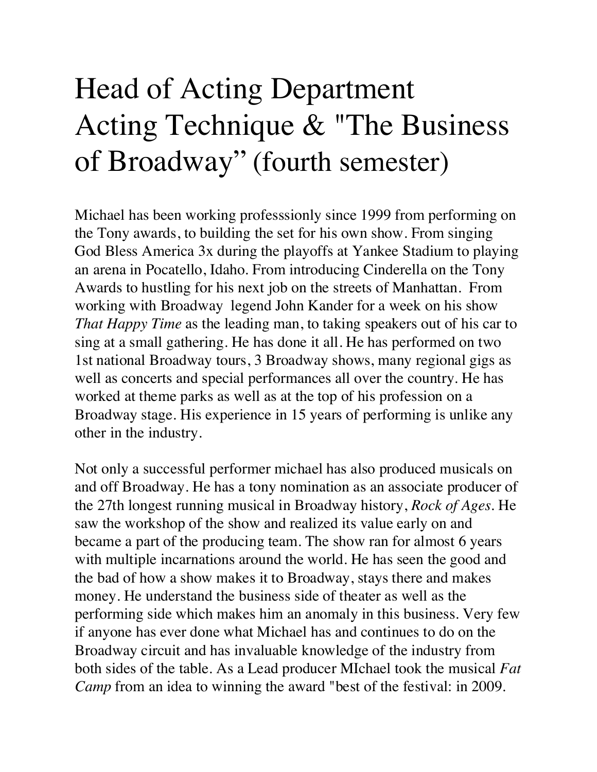## Head of Acting Department Acting Technique & "The Business of Broadway"(fourth semester)

Michael has been working professsionly since 1999 from performing on the Tony awards, to building the set for his own show. From singing God Bless America 3x during the playoffs at Yankee Stadium to playing an arena in Pocatello, Idaho. From introducing Cinderella on the Tony Awards to hustling for his next job on the streets of Manhattan. From working with Broadway legend John Kander for a week on his show *That Happy Time* as the leading man, to taking speakers out of his car to sing at a small gathering. He has done it all. He has performed on two 1st national Broadway tours, 3 Broadway shows, many regional gigs as well as concerts and special performances all over the country. He has worked at theme parks as well as at the top of his profession on a Broadway stage. His experience in 15 years of performing is unlike any other in the industry.

Not only a successful performer michael has also produced musicals on and off Broadway. He has a tony nomination as an associate producer of the 27th longest running musical in Broadway history, *Rock of Ages*. He saw the workshop of the show and realized its value early on and became a part of the producing team. The show ran for almost 6 years with multiple incarnations around the world. He has seen the good and the bad of how a show makes it to Broadway, stays there and makes money. He understand the business side of theater as well as the performing side which makes him an anomaly in this business. Very few if anyone has ever done what Michael has and continues to do on the Broadway circuit and has invaluable knowledge of the industry from both sides of the table. As a Lead producer MIchael took the musical *Fat Camp* from an idea to winning the award "best of the festival: in 2009.